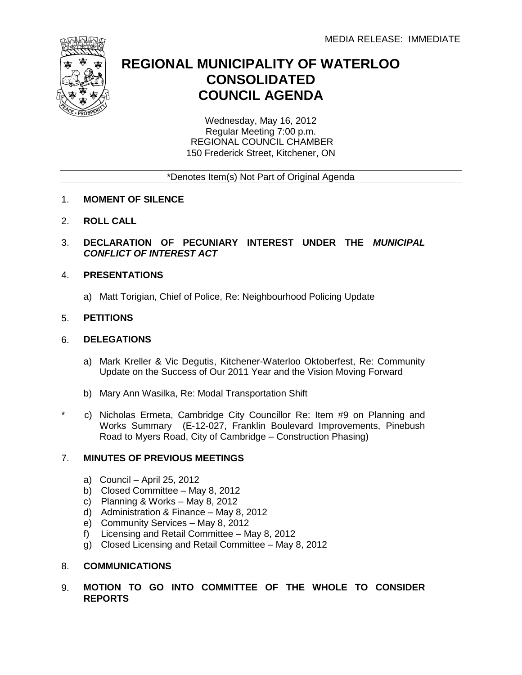

## **REGIONAL MUNICIPALITY OF WATERLOO CONSOLIDATED COUNCIL AGENDA**

Wednesday, May 16, 2012 Regular Meeting 7:00 p.m. REGIONAL COUNCIL CHAMBER 150 Frederick Street, Kitchener, ON

\*Denotes Item(s) Not Part of Original Agenda

- 1. **MOMENT OF SILENCE**
- 2. **ROLL CALL**
- 3. **DECLARATION OF PECUNIARY INTEREST UNDER THE** *MUNICIPAL CONFLICT OF INTEREST ACT*

## 4. **PRESENTATIONS**

a) Matt Torigian, Chief of Police, Re: Neighbourhood Policing Update

## 5. **PETITIONS**

\*

#### 6. **DELEGATIONS**

- a) Mark Kreller & Vic Degutis, Kitchener-Waterloo Oktoberfest, Re: Community Update on the Success of Our 2011 Year and the Vision Moving Forward
- b) Mary Ann Wasilka, Re: Modal Transportation Shift
- c) Nicholas Ermeta, Cambridge City Councillor Re: Item #9 on Planning and Works Summary (E-12-027, Franklin Boulevard Improvements, Pinebush Road to Myers Road, City of Cambridge – Construction Phasing)

## 7. **MINUTES OF PREVIOUS MEETINGS**

- a) Council April 25, 2012
- b) Closed Committee May 8, 2012
- c) Planning & Works May 8, 2012
- d) Administration & Finance May 8, 2012
- e) Community Services May 8, 2012
- f) Licensing and Retail Committee May 8, 2012
- g) Closed Licensing and Retail Committee May 8, 2012

#### 8. **COMMUNICATIONS**

9. **MOTION TO GO INTO COMMITTEE OF THE WHOLE TO CONSIDER REPORTS**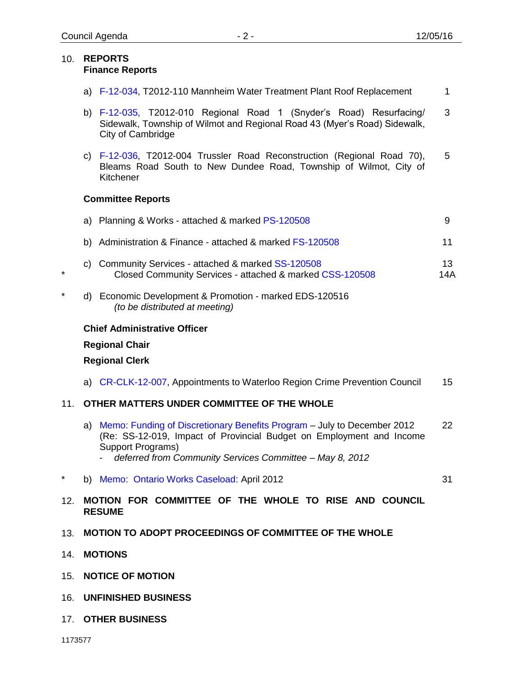#### 10. **REPORTS Finance Reports**

- a) [F-12-034,](#page-3-0) T2012-110 Mannheim Water Treatment Plant Roof Replacement 1
- b) [F-12-035,](#page-5-0) T2012-010 Regional Road 1 (Snyder's Road) Resurfacing/ Sidewalk, Township of Wilmot and Regional Road 43 (Myer's Road) Sidewalk, City of Cambridge 3
- c) [F-12-036](#page-7-0), T2012-004 Trussler Road Reconstruction (Regional Road 70), Bleams Road South to New Dundee Road, Township of Wilmot, City of Kitchener 5

## **Committee Reports**

|    | a) Planning & Works - attached & marked PS-120508                                                               | 9         |
|----|-----------------------------------------------------------------------------------------------------------------|-----------|
|    | b) Administration & Finance - attached & marked FS-120508                                                       | 11        |
|    | c) Community Services - attached & marked SS-120508<br>Closed Community Services - attached & marked CSS-120508 | 13<br>14A |
| d) | Economic Development & Promotion - marked EDS-120516<br>(to be distributed at meeting)                          |           |

## **Chief Administrative Officer**

## **Regional Chair**

\*

\*

## **Regional Clerk**

a) [CR-CLK-12-007,](#page-15-0) Appointments to Waterloo Region Crime Prevention Council 15

## 11. **OTHER MATTERS UNDER COMMITTEE OF THE WHOLE**

- a) [Memo: Funding of Discretionary Benefits Program](#page-22-0) July to December 2012 (Re: SS-12-019, Impact of Provincial Budget on Employment and Income Support Programs) 22
	- *deferred from Community Services Committee – May 8, 2012*
- \* b) [Memo: Ontario Works Caseload:](#page-31-0) April 2012

31

- 12. **MOTION FOR COMMITTEE OF THE WHOLE TO RISE AND COUNCIL RESUME**
- 13. **MOTION TO ADOPT PROCEEDINGS OF COMMITTEE OF THE WHOLE**
- 14. **MOTIONS**
- 15. **NOTICE OF MOTION**
- 16. **UNFINISHED BUSINESS**
- 17. **OTHER BUSINESS**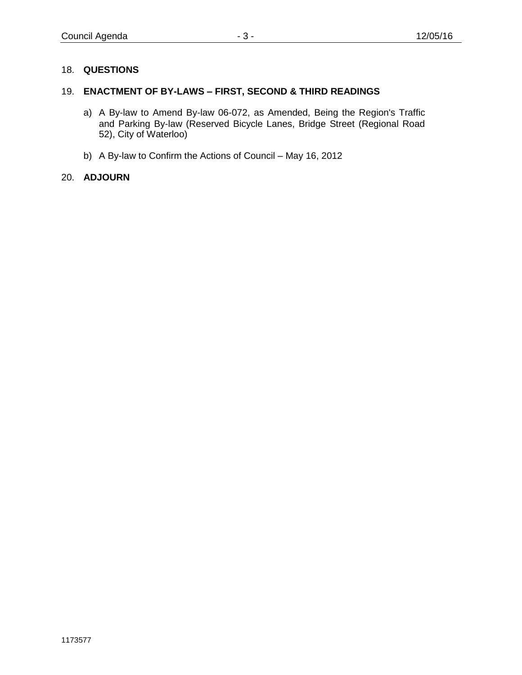## 18. **QUESTIONS**

## 19. **ENACTMENT OF BY-LAWS – FIRST, SECOND & THIRD READINGS**

- a) A By-law to Amend By-law 06-072, as Amended, Being the Region's Traffic and Parking By-law (Reserved Bicycle Lanes, Bridge Street (Regional Road 52), City of Waterloo)
- b) A By-law to Confirm the Actions of Council May 16, 2012

## 20. **ADJOURN**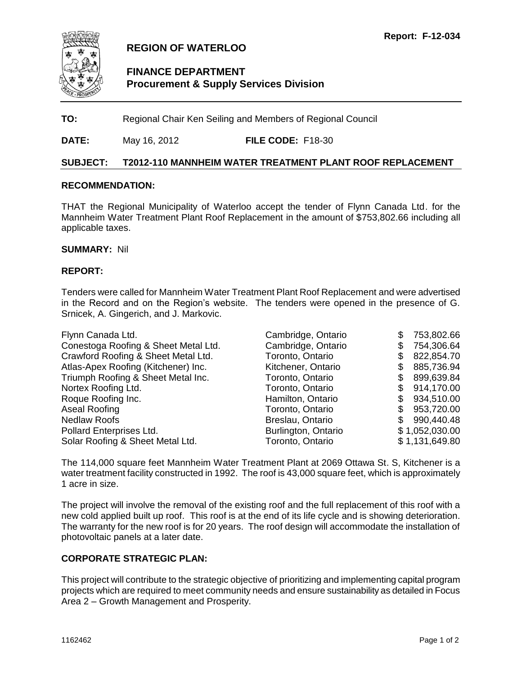<span id="page-3-0"></span>

## **REGION OF WATERLOO**

## **FINANCE DEPARTMENT Procurement & Supply Services Division**

**TO:** Regional Chair Ken Seiling and Members of Regional Council

**DATE:** May 16, 2012 **FILE CODE:** F18-30

#### **SUBJECT: T2012-110 MANNHEIM WATER TREATMENT PLANT ROOF REPLACEMENT**

#### **RECOMMENDATION:**

THAT the Regional Municipality of Waterloo accept the tender of Flynn Canada Ltd. for the Mannheim Water Treatment Plant Roof Replacement in the amount of \$753,802.66 including all applicable taxes.

#### **SUMMARY:** Nil

#### **REPORT:**

Tenders were called for Mannheim Water Treatment Plant Roof Replacement and were advertised in the Record and on the Region's website. The tenders were opened in the presence of G. Srnicek, A. Gingerich, and J. Markovic.

| Flynn Canada Ltd.                    | Cambridge, Ontario  | 753,802.66     |
|--------------------------------------|---------------------|----------------|
| Conestoga Roofing & Sheet Metal Ltd. | Cambridge, Ontario  | 754,306.64     |
| Crawford Roofing & Sheet Metal Ltd.  | Toronto, Ontario    | 822,854.70     |
| Atlas-Apex Roofing (Kitchener) Inc.  | Kitchener, Ontario  | 885,736.94     |
| Triumph Roofing & Sheet Metal Inc.   | Toronto, Ontario    | 899,639.84     |
| Nortex Roofing Ltd.                  | Toronto, Ontario    | 914,170.00     |
| Roque Roofing Inc.                   | Hamilton, Ontario   | 934,510.00     |
| Aseal Roofing                        | Toronto, Ontario    | 953,720.00     |
| <b>Nedlaw Roofs</b>                  | Breslau, Ontario    | 990,440.48     |
| Pollard Enterprises Ltd.             | Burlington, Ontario | \$1,052,030.00 |
| Solar Roofing & Sheet Metal Ltd.     | Toronto, Ontario    | \$1,131,649.80 |

The 114,000 square feet Mannheim Water Treatment Plant at 2069 Ottawa St. S, Kitchener is a water treatment facility constructed in 1992. The roof is 43,000 square feet, which is approximately 1 acre in size.

The project will involve the removal of the existing roof and the full replacement of this roof with a new cold applied built up roof. This roof is at the end of its life cycle and is showing deterioration. The warranty for the new roof is for 20 years. The roof design will accommodate the installation of photovoltaic panels at a later date.

#### **CORPORATE STRATEGIC PLAN:**

This project will contribute to the strategic objective of prioritizing and implementing capital program projects which are required to meet community needs and ensure sustainability as detailed in Focus Area 2 – Growth Management and Prosperity.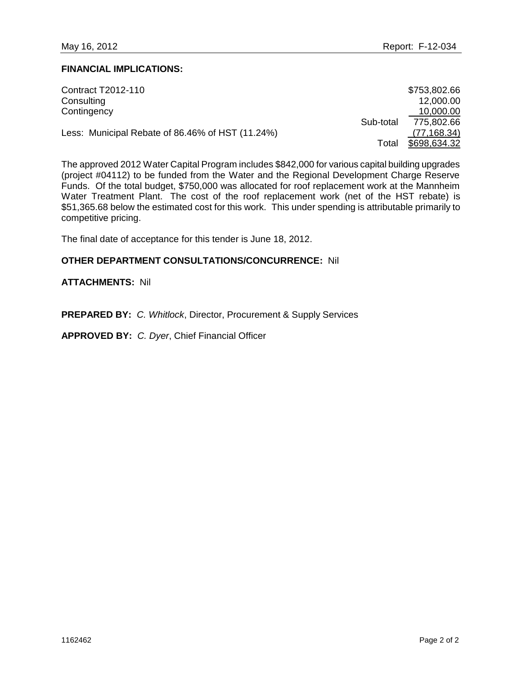#### **FINANCIAL IMPLICATIONS:**

| Contract T2012-110                               |           | \$753,802.66 |
|--------------------------------------------------|-----------|--------------|
| Consulting                                       |           | 12,000.00    |
| Contingency                                      |           | 10,000.00    |
|                                                  | Sub-total | 775,802.66   |
| Less: Municipal Rebate of 86.46% of HST (11.24%) |           | (77, 168.34) |
|                                                  | Total     | \$698,634.32 |

The approved 2012 Water Capital Program includes \$842,000 for various capital building upgrades (project #04112) to be funded from the Water and the Regional Development Charge Reserve Funds. Of the total budget, \$750,000 was allocated for roof replacement work at the Mannheim Water Treatment Plant. The cost of the roof replacement work (net of the HST rebate) is \$51,365.68 below the estimated cost for this work. This under spending is attributable primarily to competitive pricing.

The final date of acceptance for this tender is June 18, 2012.

#### **OTHER DEPARTMENT CONSULTATIONS/CONCURRENCE:** Nil

### **ATTACHMENTS:** Nil

**PREPARED BY:** *C. Whitlock*, Director, Procurement & Supply Services

**APPROVED BY:** *C. Dyer*, Chief Financial Officer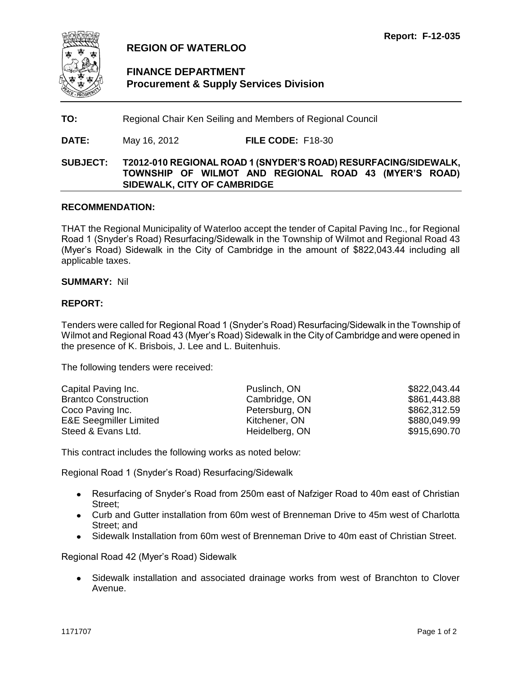<span id="page-5-0"></span>

## **REGION OF WATERLOO**

## **FINANCE DEPARTMENT Procurement & Supply Services Division**

**TO:** Regional Chair Ken Seiling and Members of Regional Council

**DATE:** May 16, 2012 **FILE CODE:** F18-30

## **SUBJECT: T2012-010 REGIONAL ROAD 1 (SNYDER'S ROAD) RESURFACING/SIDEWALK, TOWNSHIP OF WILMOT AND REGIONAL ROAD 43 (MYER'S ROAD) SIDEWALK, CITY OF CAMBRIDGE**

#### **RECOMMENDATION:**

THAT the Regional Municipality of Waterloo accept the tender of Capital Paving Inc., for Regional Road 1 (Snyder's Road) Resurfacing/Sidewalk in the Township of Wilmot and Regional Road 43 (Myer's Road) Sidewalk in the City of Cambridge in the amount of \$822,043.44 including all applicable taxes.

#### **SUMMARY:** Nil

#### **REPORT:**

Tenders were called for Regional Road 1 (Snyder's Road) Resurfacing/Sidewalk in the Township of Wilmot and Regional Road 43 (Myer's Road) Sidewalk in the City of Cambridge and were opened in the presence of K. Brisbois, J. Lee and L. Buitenhuis.

The following tenders were received:

| Capital Paving Inc.               | Puslinch, ON   | \$822,043.44 |
|-----------------------------------|----------------|--------------|
| <b>Brantco Construction</b>       | Cambridge, ON  | \$861,443.88 |
| Coco Paving Inc.                  | Petersburg, ON | \$862,312.59 |
| <b>E&amp;E Seegmiller Limited</b> | Kitchener, ON  | \$880,049.99 |
| Steed & Evans Ltd.                | Heidelberg, ON | \$915,690.70 |

This contract includes the following works as noted below:

Regional Road 1 (Snyder's Road) Resurfacing/Sidewalk

- Resurfacing of Snyder's Road from 250m east of Nafziger Road to 40m east of Christian Street;
- Curb and Gutter installation from 60m west of Brenneman Drive to 45m west of Charlotta Street; and
- Sidewalk Installation from 60m west of Brenneman Drive to 40m east of Christian Street.

Regional Road 42 (Myer's Road) Sidewalk

Sidewalk installation and associated drainage works from west of Branchton to Clover  $\bullet$ Avenue.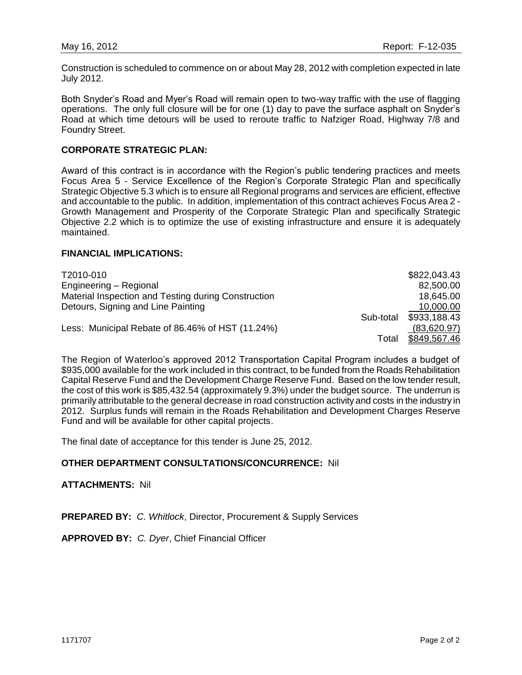Construction is scheduled to commence on or about May 28, 2012 with completion expected in late July 2012.

Both Snyder's Road and Myer's Road will remain open to two-way traffic with the use of flagging operations. The only full closure will be for one (1) day to pave the surface asphalt on Snyder's Road at which time detours will be used to reroute traffic to Nafziger Road, Highway 7/8 and Foundry Street.

#### **CORPORATE STRATEGIC PLAN:**

Award of this contract is in accordance with the Region's public tendering practices and meets Focus Area 5 - Service Excellence of the Region's Corporate Strategic Plan and specifically Strategic Objective 5.3 which is to ensure all Regional programs and services are efficient, effective and accountable to the public. In addition, implementation of this contract achieves Focus Area 2 - Growth Management and Prosperity of the Corporate Strategic Plan and specifically Strategic Objective 2.2 which is to optimize the use of existing infrastructure and ensure it is adequately maintained.

#### **FINANCIAL IMPLICATIONS:**

| T2010-010                                           | \$822,043.43 |
|-----------------------------------------------------|--------------|
| Engineering - Regional                              | 82,500.00    |
| Material Inspection and Testing during Construction | 18,645.00    |
| Detours, Signing and Line Painting                  | 10,000.00    |
| Sub-total                                           | \$933,188.43 |
| Less: Municipal Rebate of 86.46% of HST (11.24%)    | (83,620.97)  |
| Total                                               | \$849,567.46 |

The Region of Waterloo's approved 2012 Transportation Capital Program includes a budget of \$935,000 available for the work included in this contract, to be funded from the Roads Rehabilitation Capital Reserve Fund and the Development Charge Reserve Fund. Based on the low tender result, the cost of this work is \$85,432.54 (approximately 9.3%) under the budget source. The underrun is primarily attributable to the general decrease in road construction activity and costs in the industry in 2012. Surplus funds will remain in the Roads Rehabilitation and Development Charges Reserve Fund and will be available for other capital projects.

The final date of acceptance for this tender is June 25, 2012.

#### **OTHER DEPARTMENT CONSULTATIONS/CONCURRENCE:** Nil

#### **ATTACHMENTS:** Nil

**PREPARED BY:** *C. Whitlock*, Director, Procurement & Supply Services

**APPROVED BY:** *C. Dyer*, Chief Financial Officer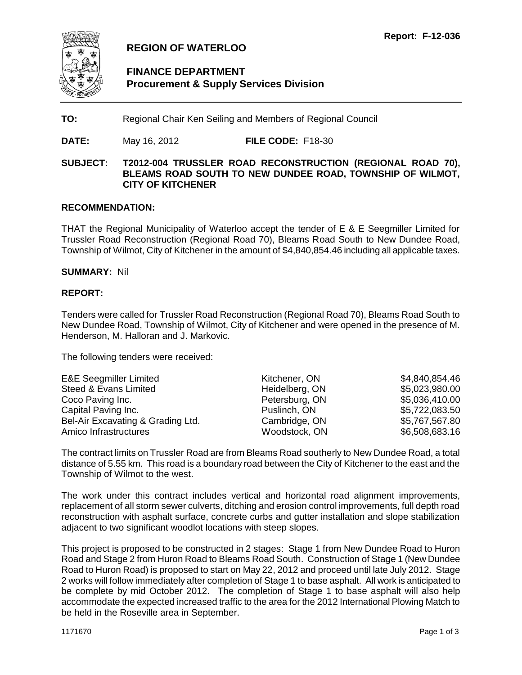<span id="page-7-0"></span>

## **REGION OF WATERLOO**

## **FINANCE DEPARTMENT Procurement & Supply Services Division**

**TO:** Regional Chair Ken Seiling and Members of Regional Council

**DATE:** May 16, 2012 **FILE CODE:** F18-30

## **SUBJECT: T2012-004 TRUSSLER ROAD RECONSTRUCTION (REGIONAL ROAD 70), BLEAMS ROAD SOUTH TO NEW DUNDEE ROAD, TOWNSHIP OF WILMOT, CITY OF KITCHENER**

#### **RECOMMENDATION:**

THAT the Regional Municipality of Waterloo accept the tender of E & E Seegmiller Limited for Trussler Road Reconstruction (Regional Road 70), Bleams Road South to New Dundee Road, Township of Wilmot, City of Kitchener in the amount of \$4,840,854.46 including all applicable taxes.

#### **SUMMARY:** Nil

#### **REPORT:**

Tenders were called for Trussler Road Reconstruction (Regional Road 70), Bleams Road South to New Dundee Road, Township of Wilmot, City of Kitchener and were opened in the presence of M. Henderson, M. Halloran and J. Markovic.

The following tenders were received:

| <b>E&amp;E Seegmiller Limited</b> | Kitchener, ON  | \$4,840,854.46 |
|-----------------------------------|----------------|----------------|
| Steed & Evans Limited             | Heidelberg, ON | \$5,023,980.00 |
| Coco Paving Inc.                  | Petersburg, ON | \$5,036,410.00 |
| Capital Paving Inc.               | Puslinch, ON   | \$5,722,083.50 |
| Bel-Air Excavating & Grading Ltd. | Cambridge, ON  | \$5,767,567.80 |
| Amico Infrastructures             | Woodstock, ON  | \$6,508,683.16 |

The contract limits on Trussler Road are from Bleams Road southerly to New Dundee Road, a total distance of 5.55 km. This road is a boundary road between the City of Kitchener to the east and the Township of Wilmot to the west.

The work under this contract includes vertical and horizontal road alignment improvements, replacement of all storm sewer culverts, ditching and erosion control improvements, full depth road reconstruction with asphalt surface, concrete curbs and gutter installation and slope stabilization adjacent to two significant woodlot locations with steep slopes.

This project is proposed to be constructed in 2 stages: Stage 1 from New Dundee Road to Huron Road and Stage 2 from Huron Road to Bleams Road South. Construction of Stage 1 (New Dundee Road to Huron Road) is proposed to start on May 22, 2012 and proceed until late July 2012. Stage 2 works will follow immediately after completion of Stage 1 to base asphalt. All work is anticipated to be complete by mid October 2012. The completion of Stage 1 to base asphalt will also help accommodate the expected increased traffic to the area for the 2012 International Plowing Match to be held in the Roseville area in September.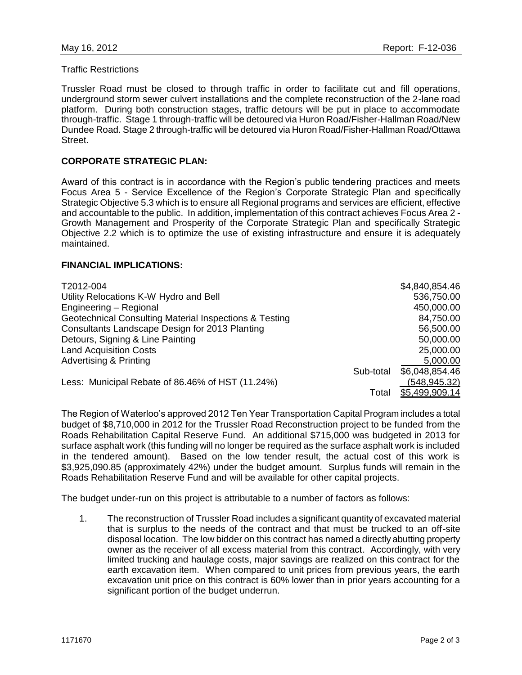#### Traffic Restrictions

Trussler Road must be closed to through traffic in order to facilitate cut and fill operations, underground storm sewer culvert installations and the complete reconstruction of the 2-lane road platform. During both construction stages, traffic detours will be put in place to accommodate through-traffic. Stage 1 through-traffic will be detoured via Huron Road/Fisher-Hallman Road/New Dundee Road. Stage 2 through-traffic will be detoured via Huron Road/Fisher-Hallman Road/Ottawa Street.

#### **CORPORATE STRATEGIC PLAN:**

Award of this contract is in accordance with the Region's public tendering practices and meets Focus Area 5 - Service Excellence of the Region's Corporate Strategic Plan and specifically Strategic Objective 5.3 which is to ensure all Regional programs and services are efficient, effective and accountable to the public. In addition, implementation of this contract achieves Focus Area 2 - Growth Management and Prosperity of the Corporate Strategic Plan and specifically Strategic Objective 2.2 which is to optimize the use of existing infrastructure and ensure it is adequately maintained.

#### **FINANCIAL IMPLICATIONS:**

| T2012-004                                              |           | \$4,840,854.46 |
|--------------------------------------------------------|-----------|----------------|
| Utility Relocations K-W Hydro and Bell                 |           | 536,750.00     |
| Engineering - Regional                                 |           | 450,000.00     |
| Geotechnical Consulting Material Inspections & Testing |           | 84,750.00      |
| Consultants Landscape Design for 2013 Planting         |           | 56,500.00      |
| Detours, Signing & Line Painting                       |           | 50,000.00      |
| <b>Land Acquisition Costs</b>                          |           | 25,000.00      |
| <b>Advertising &amp; Printing</b>                      |           | 5,000.00       |
|                                                        | Sub-total | \$6,048,854.46 |
| Less: Municipal Rebate of 86.46% of HST (11.24%)       |           | (548, 945.32)  |
|                                                        | Total     | \$5,499,909.14 |

The Region of Waterloo's approved 2012 Ten Year Transportation Capital Program includes a total budget of \$8,710,000 in 2012 for the Trussler Road Reconstruction project to be funded from the Roads Rehabilitation Capital Reserve Fund. An additional \$715,000 was budgeted in 2013 for surface asphalt work (this funding will no longer be required as the surface asphalt work is included in the tendered amount). Based on the low tender result, the actual cost of this work is \$3,925,090.85 (approximately 42%) under the budget amount. Surplus funds will remain in the Roads Rehabilitation Reserve Fund and will be available for other capital projects.

The budget under-run on this project is attributable to a number of factors as follows:

1. The reconstruction of Trussler Road includes a significant quantity of excavated material that is surplus to the needs of the contract and that must be trucked to an off-site disposal location. The low bidder on this contract has named a directly abutting property owner as the receiver of all excess material from this contract. Accordingly, with very limited trucking and haulage costs, major savings are realized on this contract for the earth excavation item. When compared to unit prices from previous years, the earth excavation unit price on this contract is 60% lower than in prior years accounting for a significant portion of the budget underrun.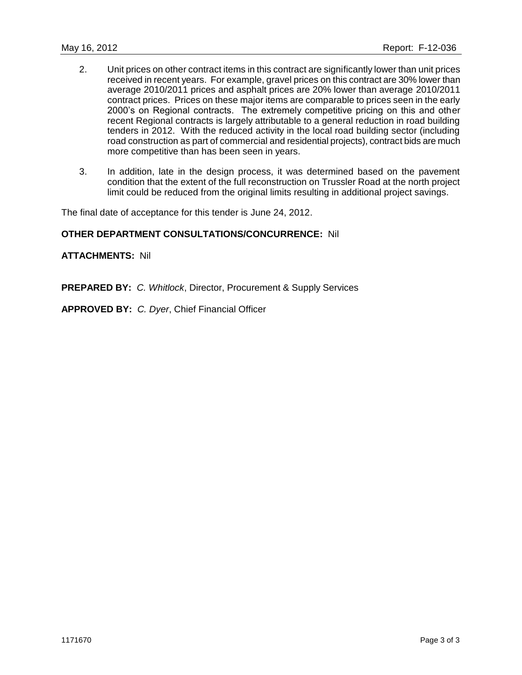- 2. Unit prices on other contract items in this contract are significantly lower than unit prices received in recent years. For example, gravel prices on this contract are 30% lower than average 2010/2011 prices and asphalt prices are 20% lower than average 2010/2011 contract prices. Prices on these major items are comparable to prices seen in the early 2000's on Regional contracts. The extremely competitive pricing on this and other recent Regional contracts is largely attributable to a general reduction in road building tenders in 2012. With the reduced activity in the local road building sector (including road construction as part of commercial and residential projects), contract bids are much more competitive than has been seen in years.
- 3. In addition, late in the design process, it was determined based on the pavement condition that the extent of the full reconstruction on Trussler Road at the north project limit could be reduced from the original limits resulting in additional project savings.

The final date of acceptance for this tender is June 24, 2012.

#### **OTHER DEPARTMENT CONSULTATIONS/CONCURRENCE:** Nil

#### **ATTACHMENTS:** Nil

**PREPARED BY:** *C. Whitlock*, Director, Procurement & Supply Services

**APPROVED BY:** *C. Dyer*, Chief Financial Officer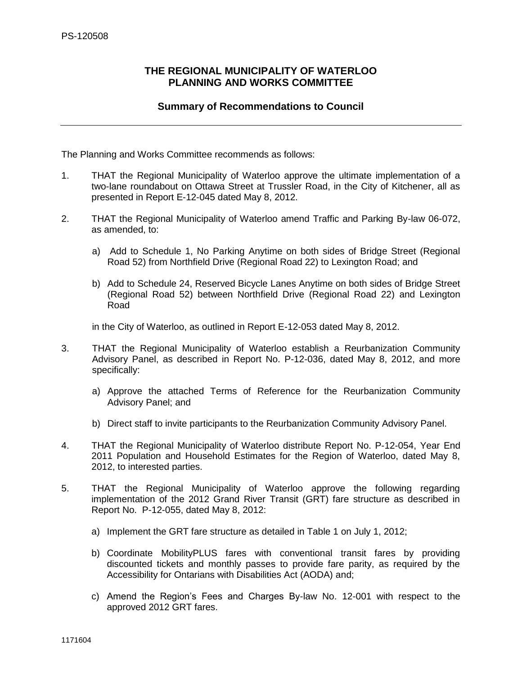## <span id="page-10-0"></span>**THE REGIONAL MUNICIPALITY OF WATERLOO PLANNING AND WORKS COMMITTEE**

## **Summary of Recommendations to Council**

The Planning and Works Committee recommends as follows:

- 1. THAT the Regional Municipality of Waterloo approve the ultimate implementation of a two-lane roundabout on Ottawa Street at Trussler Road, in the City of Kitchener, all as presented in Report E-12-045 dated May 8, 2012.
- 2. THAT the Regional Municipality of Waterloo amend Traffic and Parking By-law 06-072, as amended, to:
	- a) Add to Schedule 1, No Parking Anytime on both sides of Bridge Street (Regional Road 52) from Northfield Drive (Regional Road 22) to Lexington Road; and
	- b) Add to Schedule 24, Reserved Bicycle Lanes Anytime on both sides of Bridge Street (Regional Road 52) between Northfield Drive (Regional Road 22) and Lexington Road

in the City of Waterloo, as outlined in Report E-12-053 dated May 8, 2012.

- 3. THAT the Regional Municipality of Waterloo establish a Reurbanization Community Advisory Panel, as described in Report No. P-12-036, dated May 8, 2012, and more specifically:
	- a) Approve the attached Terms of Reference for the Reurbanization Community Advisory Panel; and
	- b) Direct staff to invite participants to the Reurbanization Community Advisory Panel.
- 4. THAT the Regional Municipality of Waterloo distribute Report No. P-12-054, Year End 2011 Population and Household Estimates for the Region of Waterloo, dated May 8, 2012, to interested parties.
- 5. THAT the Regional Municipality of Waterloo approve the following regarding implementation of the 2012 Grand River Transit (GRT) fare structure as described in Report No. P-12-055, dated May 8, 2012:
	- a) Implement the GRT fare structure as detailed in Table 1 on July 1, 2012;
	- b) Coordinate MobilityPLUS fares with conventional transit fares by providing discounted tickets and monthly passes to provide fare parity, as required by the Accessibility for Ontarians with Disabilities Act (AODA) and;
	- c) Amend the Region's Fees and Charges By-law No. 12-001 with respect to the approved 2012 GRT fares.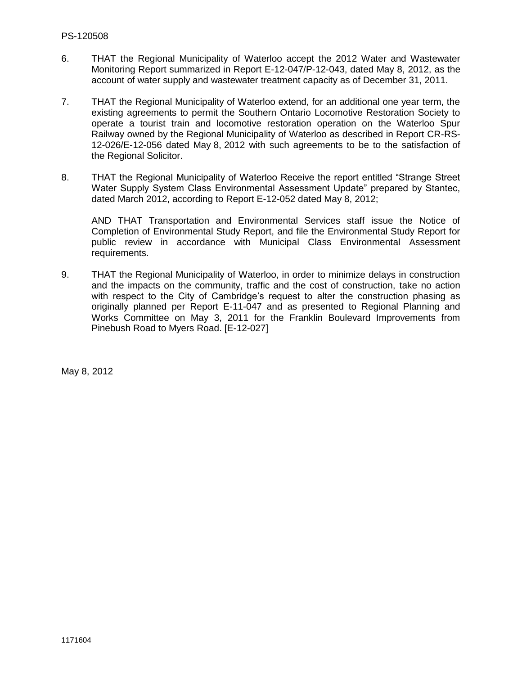- 6. THAT the Regional Municipality of Waterloo accept the 2012 Water and Wastewater Monitoring Report summarized in Report E-12-047/P-12-043, dated May 8, 2012, as the account of water supply and wastewater treatment capacity as of December 31, 2011.
- 7. THAT the Regional Municipality of Waterloo extend, for an additional one year term, the existing agreements to permit the Southern Ontario Locomotive Restoration Society to operate a tourist train and locomotive restoration operation on the Waterloo Spur Railway owned by the Regional Municipality of Waterloo as described in Report CR-RS-12-026/E-12-056 dated May 8, 2012 with such agreements to be to the satisfaction of the Regional Solicitor.
- 8. THAT the Regional Municipality of Waterloo Receive the report entitled "Strange Street Water Supply System Class Environmental Assessment Update" prepared by Stantec, dated March 2012, according to Report E-12-052 dated May 8, 2012;

AND THAT Transportation and Environmental Services staff issue the Notice of Completion of Environmental Study Report, and file the Environmental Study Report for public review in accordance with Municipal Class Environmental Assessment requirements.

9. THAT the Regional Municipality of Waterloo, in order to minimize delays in construction and the impacts on the community, traffic and the cost of construction, take no action with respect to the City of Cambridge's request to alter the construction phasing as originally planned per Report E-11-047 and as presented to Regional Planning and Works Committee on May 3, 2011 for the Franklin Boulevard Improvements from Pinebush Road to Myers Road. [E-12-027]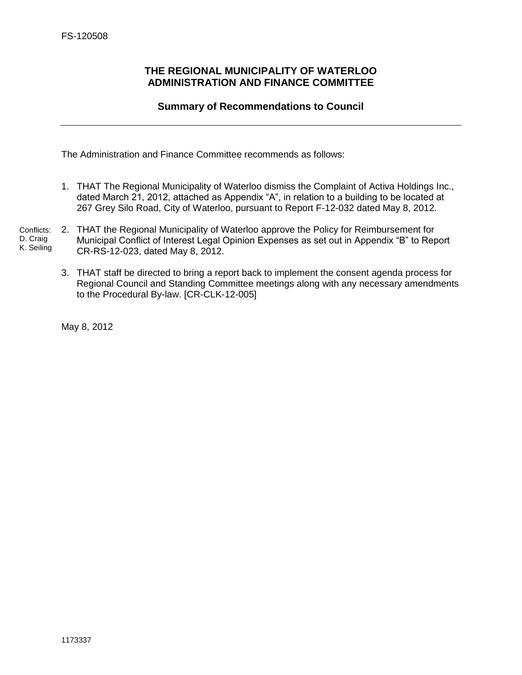## <span id="page-12-0"></span>**THE REGIONAL MUNICIPALITY OF WATERLOO ADMINISTRATION AND FINANCE COMMITTEE**

## **Summary of Recommendations to Council**

The Administration and Finance Committee recommends as follows:

- 1. THAT The Regional Municipality of Waterloo dismiss the Complaint of Activa Holdings Inc., dated March 21, 2012, attached as Appendix "A", in relation to a building to be located at 267 Grey Silo Road, City of Waterloo, pursuant to Report F-12-032 dated May 8, 2012.
- 2. THAT the Regional Municipality of Waterloo approve the Policy for Reimbursement for Municipal Conflict of Interest Legal Opinion Expenses as set out in Appendix "B" to Report CR-RS-12-023, dated May 8, 2012. Conflicts: D. Craig K. Seiling
	- 3. THAT staff be directed to bring a report back to implement the consent agenda process for Regional Council and Standing Committee meetings along with any necessary amendments to the Procedural By-law. [CR-CLK-12-005]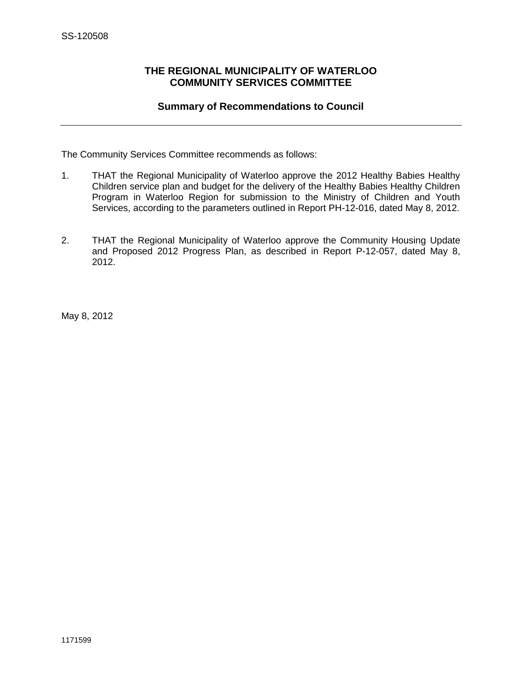## <span id="page-13-0"></span>**THE REGIONAL MUNICIPALITY OF WATERLOO COMMUNITY SERVICES COMMITTEE**

## **Summary of Recommendations to Council**

The Community Services Committee recommends as follows:

- 1. THAT the Regional Municipality of Waterloo approve the 2012 Healthy Babies Healthy Children service plan and budget for the delivery of the Healthy Babies Healthy Children Program in Waterloo Region for submission to the Ministry of Children and Youth Services, according to the parameters outlined in Report PH-12-016, dated May 8, 2012.
- 2. THAT the Regional Municipality of Waterloo approve the Community Housing Update and Proposed 2012 Progress Plan, as described in Report P-12-057, dated May 8, 2012.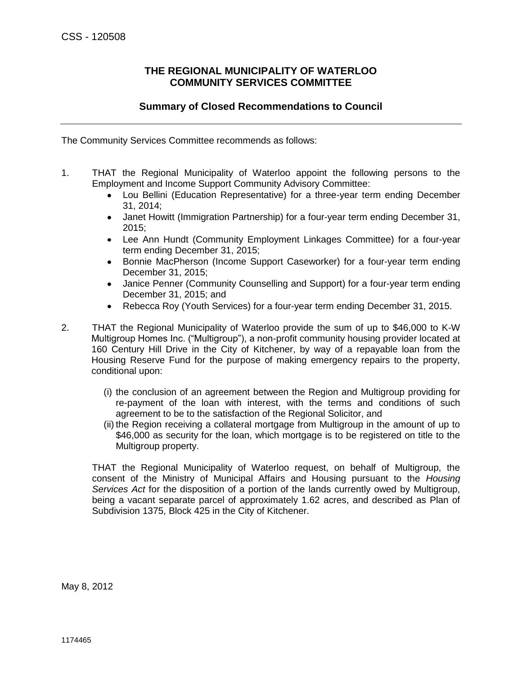## **THE REGIONAL MUNICIPALITY OF WATERLOO COMMUNITY SERVICES COMMITTEE**

## **Summary of Closed Recommendations to Council**

<span id="page-14-0"></span>The Community Services Committee recommends as follows:

- 1. THAT the Regional Municipality of Waterloo appoint the following persons to the Employment and Income Support Community Advisory Committee:
	- Lou Bellini (Education Representative) for a three-year term ending December 31, 2014;
	- Janet Howitt (Immigration Partnership) for a four-year term ending December 31,  $\bullet$ 2015;
	- $\bullet$ Lee Ann Hundt (Community Employment Linkages Committee) for a four-year term ending December 31, 2015;
	- $\bullet$ Bonnie MacPherson (Income Support Caseworker) for a four-year term ending December 31, 2015;
	- Janice Penner (Community Counselling and Support) for a four-year term ending  $\bullet$ December 31, 2015; and
	- Rebecca Roy (Youth Services) for a four-year term ending December 31, 2015.  $\bullet$
- 2. THAT the Regional Municipality of Waterloo provide the sum of up to \$46,000 to K-W Multigroup Homes Inc. ("Multigroup"), a non-profit community housing provider located at 160 Century Hill Drive in the City of Kitchener, by way of a repayable loan from the Housing Reserve Fund for the purpose of making emergency repairs to the property, conditional upon:
	- (i) the conclusion of an agreement between the Region and Multigroup providing for re-payment of the loan with interest, with the terms and conditions of such agreement to be to the satisfaction of the Regional Solicitor, and
	- (ii) the Region receiving a collateral mortgage from Multigroup in the amount of up to \$46,000 as security for the loan, which mortgage is to be registered on title to the Multigroup property.

THAT the Regional Municipality of Waterloo request, on behalf of Multigroup, the consent of the Ministry of Municipal Affairs and Housing pursuant to the *Housing Services Act* for the disposition of a portion of the lands currently owed by Multigroup, being a vacant separate parcel of approximately 1.62 acres, and described as Plan of Subdivision 1375, Block 425 in the City of Kitchener.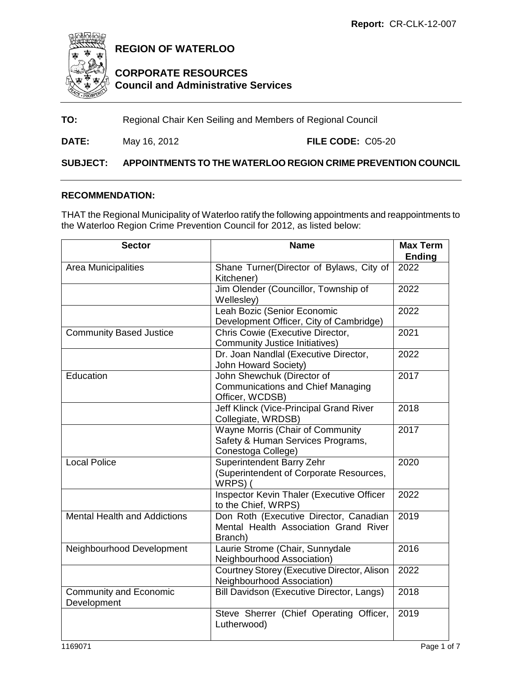<span id="page-15-0"></span>

**REGION OF WATERLOO**

## **CORPORATE RESOURCES Council and Administrative Services**

## **TO:** Regional Chair Ken Seiling and Members of Regional Council

**DATE:** May 16, 2012 **FILE CODE:** C05-20

## **SUBJECT: APPOINTMENTS TO THE WATERLOO REGION CRIME PREVENTION COUNCIL**

#### **RECOMMENDATION:**

THAT the Regional Municipality of Waterloo ratify the following appointments and reappointments to the Waterloo Region Crime Prevention Council for 2012, as listed below:

| <b>Sector</b>                                | <b>Name</b>                                                                                 | <b>Max Term</b> |
|----------------------------------------------|---------------------------------------------------------------------------------------------|-----------------|
|                                              |                                                                                             | <b>Ending</b>   |
| Area Municipalities                          | Shane Turner(Director of Bylaws, City of<br>Kitchener)                                      | 2022            |
|                                              | Jim Olender (Councillor, Township of<br>Wellesley)                                          | 2022            |
|                                              | Leah Bozic (Senior Economic<br>Development Officer, City of Cambridge)                      | 2022            |
| <b>Community Based Justice</b>               | Chris Cowie (Executive Director,<br><b>Community Justice Initiatives)</b>                   | 2021            |
|                                              | Dr. Joan Nandlal (Executive Director,<br>John Howard Society)                               | 2022            |
| Education                                    | John Shewchuk (Director of<br><b>Communications and Chief Managing</b><br>Officer, WCDSB)   | 2017            |
|                                              | Jeff Klinck (Vice-Principal Grand River<br>Collegiate, WRDSB)                               | 2018            |
|                                              | Wayne Morris (Chair of Community<br>Safety & Human Services Programs,<br>Conestoga College) | 2017            |
| <b>Local Police</b>                          | Superintendent Barry Zehr<br>(Superintendent of Corporate Resources,<br>WRPS)(              | 2020            |
|                                              | Inspector Kevin Thaler (Executive Officer<br>to the Chief, WRPS)                            | 2022            |
| <b>Mental Health and Addictions</b>          | Don Roth (Executive Director, Canadian<br>Mental Health Association Grand River<br>Branch)  | 2019            |
| Neighbourhood Development                    | Laurie Strome (Chair, Sunnydale<br>Neighbourhood Association)                               | 2016            |
|                                              | Courtney Storey (Executive Director, Alison<br>Neighbourhood Association)                   | 2022            |
| <b>Community and Economic</b><br>Development | Bill Davidson (Executive Director, Langs)                                                   | 2018            |
|                                              | Steve Sherrer (Chief Operating Officer,<br>Lutherwood)                                      | 2019            |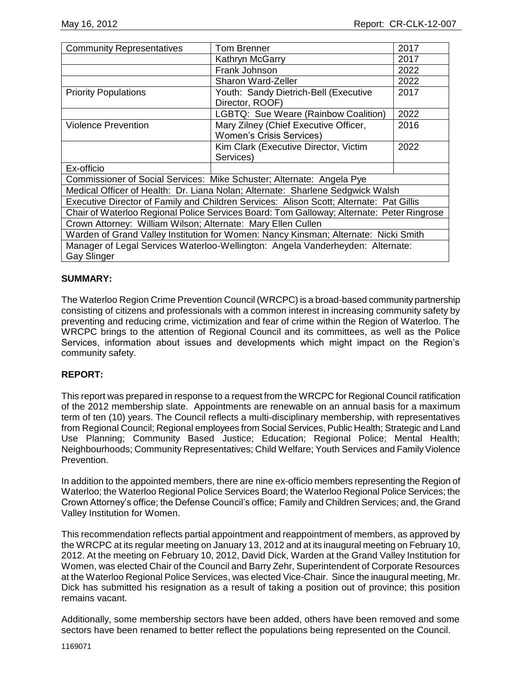| <b>Tom Brenner</b><br><b>Community Representatives</b>                                               |                                                                                         | 2017 |  |  |
|------------------------------------------------------------------------------------------------------|-----------------------------------------------------------------------------------------|------|--|--|
|                                                                                                      | Kathryn McGarry                                                                         |      |  |  |
|                                                                                                      | Frank Johnson                                                                           | 2022 |  |  |
|                                                                                                      | Sharon Ward-Zeller                                                                      | 2022 |  |  |
| <b>Priority Populations</b>                                                                          | Youth: Sandy Dietrich-Bell (Executive<br>Director, ROOF)                                | 2017 |  |  |
|                                                                                                      | LGBTQ: Sue Weare (Rainbow Coalition)                                                    | 2022 |  |  |
| <b>Violence Prevention</b>                                                                           | Mary Zilney (Chief Executive Officer,                                                   | 2016 |  |  |
|                                                                                                      | <b>Women's Crisis Services)</b>                                                         |      |  |  |
|                                                                                                      | Kim Clark (Executive Director, Victim                                                   | 2022 |  |  |
|                                                                                                      | Services)                                                                               |      |  |  |
| Ex-officio                                                                                           |                                                                                         |      |  |  |
| Commissioner of Social Services: Mike Schuster; Alternate: Angela Pye                                |                                                                                         |      |  |  |
| Medical Officer of Health: Dr. Liana Nolan; Alternate: Sharlene Sedgwick Walsh                       |                                                                                         |      |  |  |
|                                                                                                      | Executive Director of Family and Children Services: Alison Scott; Alternate: Pat Gillis |      |  |  |
| Chair of Waterloo Regional Police Services Board: Tom Galloway; Alternate: Peter Ringrose            |                                                                                         |      |  |  |
| Crown Attorney: William Wilson; Alternate: Mary Ellen Cullen                                         |                                                                                         |      |  |  |
| Warden of Grand Valley Institution for Women: Nancy Kinsman; Alternate: Nicki Smith                  |                                                                                         |      |  |  |
| Manager of Legal Services Waterloo-Wellington: Angela Vanderheyden: Alternate:<br><b>Gay Slinger</b> |                                                                                         |      |  |  |

#### **SUMMARY:**

The Waterloo Region Crime Prevention Council (WRCPC) is a broad-based community partnership consisting of citizens and professionals with a common interest in increasing community safety by preventing and reducing crime, victimization and fear of crime within the Region of Waterloo. The WRCPC brings to the attention of Regional Council and its committees, as well as the Police Services, information about issues and developments which might impact on the Region's community safety.

## **REPORT:**

This report was prepared in response to a request from the WRCPC for Regional Council ratification of the 2012 membership slate. Appointments are renewable on an annual basis for a maximum term of ten (10) years. The Council reflects a multi-disciplinary membership, with representatives from Regional Council; Regional employees from Social Services, Public Health; Strategic and Land Use Planning; Community Based Justice; Education; Regional Police; Mental Health; Neighbourhoods; Community Representatives; Child Welfare; Youth Services and Family Violence Prevention.

In addition to the appointed members, there are nine ex-officio members representing the Region of Waterloo; the Waterloo Regional Police Services Board; the Waterloo Regional Police Services; the Crown Attorney's office; the Defense Council's office; Family and Children Services; and, the Grand Valley Institution for Women.

This recommendation reflects partial appointment and reappointment of members, as approved by the WRCPC at its regular meeting on January 13, 2012 and at its inaugural meeting on February 10, 2012. At the meeting on February 10, 2012, David Dick, Warden at the Grand Valley Institution for Women, was elected Chair of the Council and Barry Zehr, Superintendent of Corporate Resources at the Waterloo Regional Police Services, was elected Vice-Chair. Since the inaugural meeting, Mr. Dick has submitted his resignation as a result of taking a position out of province; this position remains vacant.

Additionally, some membership sectors have been added, others have been removed and some sectors have been renamed to better reflect the populations being represented on the Council.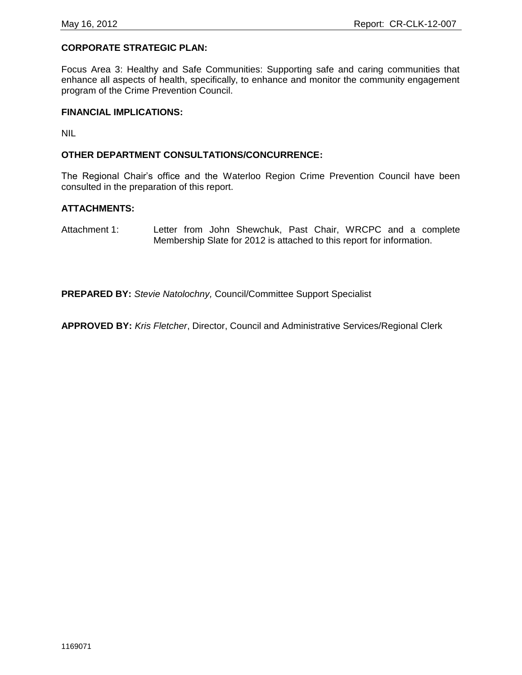#### **CORPORATE STRATEGIC PLAN:**

Focus Area 3: Healthy and Safe Communities: Supporting safe and caring communities that enhance all aspects of health, specifically, to enhance and monitor the community engagement program of the Crime Prevention Council.

#### **FINANCIAL IMPLICATIONS:**

NIL

#### **OTHER DEPARTMENT CONSULTATIONS/CONCURRENCE:**

The Regional Chair's office and the Waterloo Region Crime Prevention Council have been consulted in the preparation of this report.

#### **ATTACHMENTS:**

Attachment 1: Letter from John Shewchuk, Past Chair, WRCPC and a complete Membership Slate for 2012 is attached to this report for information.

**PREPARED BY:** *Stevie Natolochny,* Council/Committee Support Specialist

**APPROVED BY:** *Kris Fletcher*, Director, Council and Administrative Services/Regional Clerk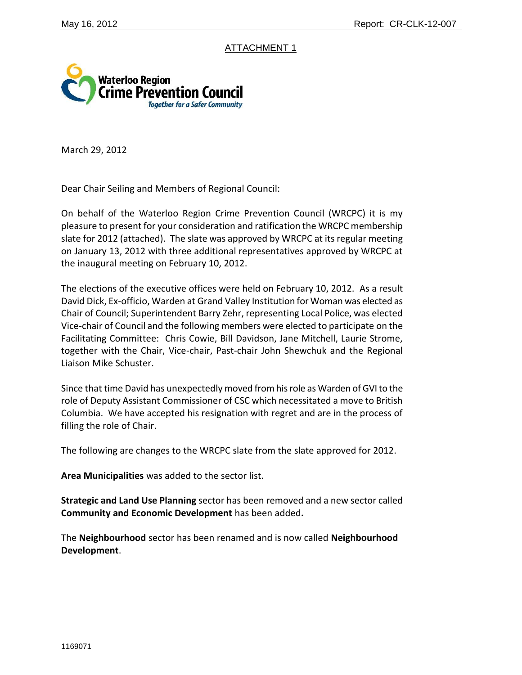## ATTACHMENT 1



March 29, 2012

Dear Chair Seiling and Members of Regional Council:

On behalf of the Waterloo Region Crime Prevention Council (WRCPC) it is my pleasure to present for your consideration and ratification the WRCPC membership slate for 2012 (attached). The slate was approved by WRCPC at its regular meeting on January 13, 2012 with three additional representatives approved by WRCPC at the inaugural meeting on February 10, 2012.

The elections of the executive offices were held on February 10, 2012. As a result David Dick, Ex-officio, Warden at Grand Valley Institution for Woman was elected as Chair of Council; Superintendent Barry Zehr, representing Local Police, was elected Vice-chair of Council and the following members were elected to participate on the Facilitating Committee: Chris Cowie, Bill Davidson, Jane Mitchell, Laurie Strome, together with the Chair, Vice-chair, Past-chair John Shewchuk and the Regional Liaison Mike Schuster.

Since that time David has unexpectedly moved from his role as Warden of GVI to the role of Deputy Assistant Commissioner of CSC which necessitated a move to British Columbia. We have accepted his resignation with regret and are in the process of filling the role of Chair.

The following are changes to the WRCPC slate from the slate approved for 2012.

**Area Municipalities** was added to the sector list.

**Strategic and Land Use Planning** sector has been removed and a new sector called **Community and Economic Development** has been added**.** 

The **Neighbourhood** sector has been renamed and is now called **Neighbourhood Development**.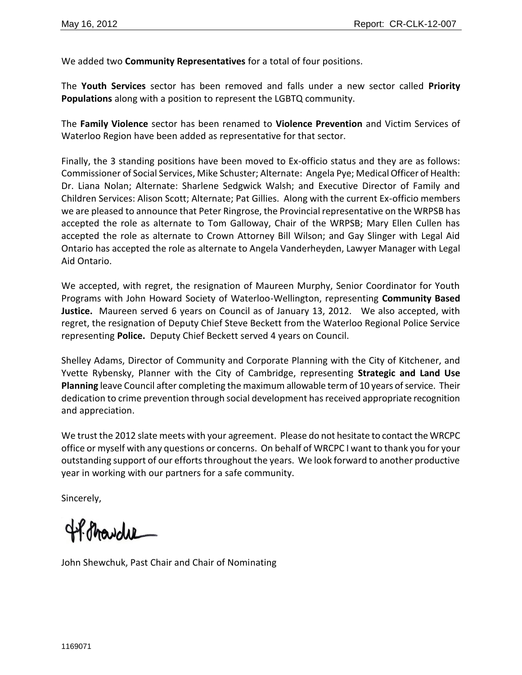We added two **Community Representatives** for a total of four positions.

The **Youth Services** sector has been removed and falls under a new sector called **Priority Populations** along with a position to represent the LGBTQ community.

The **Family Violence** sector has been renamed to **Violence Prevention** and Victim Services of Waterloo Region have been added as representative for that sector.

Finally, the 3 standing positions have been moved to Ex-officio status and they are as follows: Commissioner of Social Services, Mike Schuster; Alternate: Angela Pye; Medical Officer of Health: Dr. Liana Nolan; Alternate: Sharlene Sedgwick Walsh; and Executive Director of Family and Children Services: Alison Scott; Alternate; Pat Gillies. Along with the current Ex-officio members we are pleased to announce that Peter Ringrose, the Provincial representative on the WRPSB has accepted the role as alternate to Tom Galloway, Chair of the WRPSB; Mary Ellen Cullen has accepted the role as alternate to Crown Attorney Bill Wilson; and Gay Slinger with Legal Aid Ontario has accepted the role as alternate to Angela Vanderheyden, Lawyer Manager with Legal Aid Ontario.

We accepted, with regret, the resignation of Maureen Murphy, Senior Coordinator for Youth Programs with John Howard Society of Waterloo-Wellington, representing **Community Based Justice.** Maureen served 6 years on Council as of January 13, 2012. We also accepted, with regret, the resignation of Deputy Chief Steve Beckett from the Waterloo Regional Police Service representing **Police.** Deputy Chief Beckett served 4 years on Council.

Shelley Adams, Director of Community and Corporate Planning with the City of Kitchener, and Yvette Rybensky, Planner with the City of Cambridge, representing **Strategic and Land Use Planning** leave Council after completing the maximum allowable term of 10 years of service. Their dedication to crime prevention through social development has received appropriate recognition and appreciation.

We trust the 2012 slate meets with your agreement. Please do not hesitate to contact the WRCPC office or myself with any questions or concerns. On behalf of WRCPC I want to thank you for your outstanding support of our efforts throughout the years. We look forward to another productive year in working with our partners for a safe community.

Sincerely,

4P. Pravdie

John Shewchuk, Past Chair and Chair of Nominating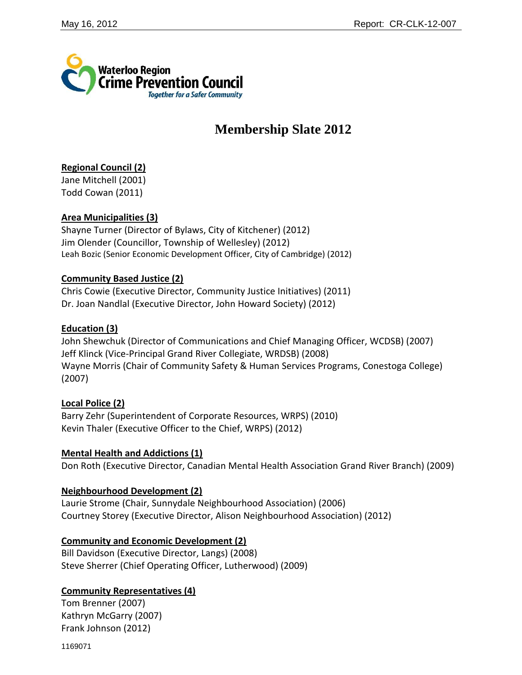

## **Membership Slate 2012**

## **Regional Council (2)**

Jane Mitchell (2001) Todd Cowan (2011)

## **Area Municipalities (3)**

Shayne Turner (Director of Bylaws, City of Kitchener) (2012) Jim Olender (Councillor, Township of Wellesley) (2012) Leah Bozic (Senior Economic Development Officer, City of Cambridge) (2012)

## **Community Based Justice (2)**

Chris Cowie (Executive Director, Community Justice Initiatives) (2011) Dr. Joan Nandlal (Executive Director, John Howard Society) (2012)

## **Education (3)**

John Shewchuk (Director of Communications and Chief Managing Officer, WCDSB) (2007) Jeff Klinck (Vice-Principal Grand River Collegiate, WRDSB) (2008) Wayne Morris (Chair of Community Safety & Human Services Programs, Conestoga College) (2007)

## **Local Police (2)**

Barry Zehr (Superintendent of Corporate Resources, WRPS) (2010) Kevin Thaler (Executive Officer to the Chief, WRPS) (2012)

## **Mental Health and Addictions (1)**

Don Roth (Executive Director, Canadian Mental Health Association Grand River Branch) (2009)

## **Neighbourhood Development (2)**

Laurie Strome (Chair, Sunnydale Neighbourhood Association) (2006) Courtney Storey (Executive Director, Alison Neighbourhood Association) (2012)

## **Community and Economic Development (2)**

Bill Davidson (Executive Director, Langs) (2008) Steve Sherrer (Chief Operating Officer, Lutherwood) (2009)

## **Community Representatives (4)**

Tom Brenner (2007) Kathryn McGarry (2007) Frank Johnson (2012)

1169071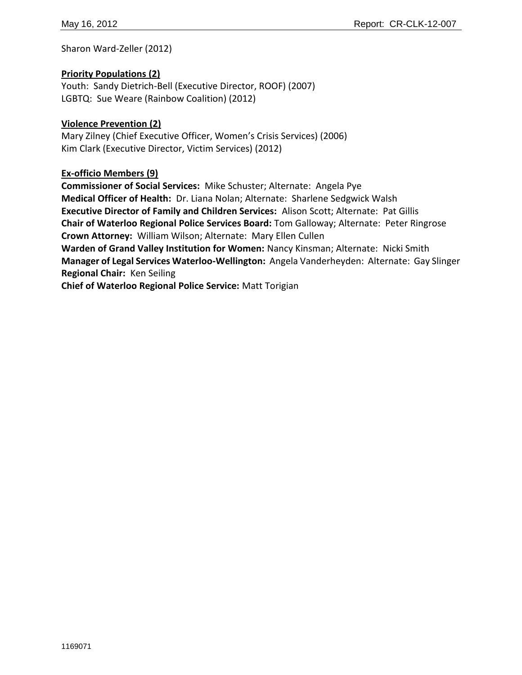Sharon Ward-Zeller (2012)

## **Priority Populations (2)**

Youth: Sandy Dietrich-Bell (Executive Director, ROOF) (2007) LGBTQ: Sue Weare (Rainbow Coalition) (2012)

## **Violence Prevention (2)**

Mary Zilney (Chief Executive Officer, Women's Crisis Services) (2006) Kim Clark (Executive Director, Victim Services) (2012)

## **Ex-officio Members (9)**

**Commissioner of Social Services:** Mike Schuster; Alternate: Angela Pye **Medical Officer of Health:** Dr. Liana Nolan; Alternate: Sharlene Sedgwick Walsh **Executive Director of Family and Children Services:** Alison Scott; Alternate: Pat Gillis **Chair of Waterloo Regional Police Services Board:** Tom Galloway; Alternate: Peter Ringrose **Crown Attorney:** William Wilson; Alternate: Mary Ellen Cullen **Warden of Grand Valley Institution for Women:** Nancy Kinsman; Alternate: Nicki Smith **Manager of Legal Services Waterloo-Wellington:** Angela Vanderheyden: Alternate: Gay Slinger

**Regional Chair:** Ken Seiling

**Chief of Waterloo Regional Police Service:** Matt Torigian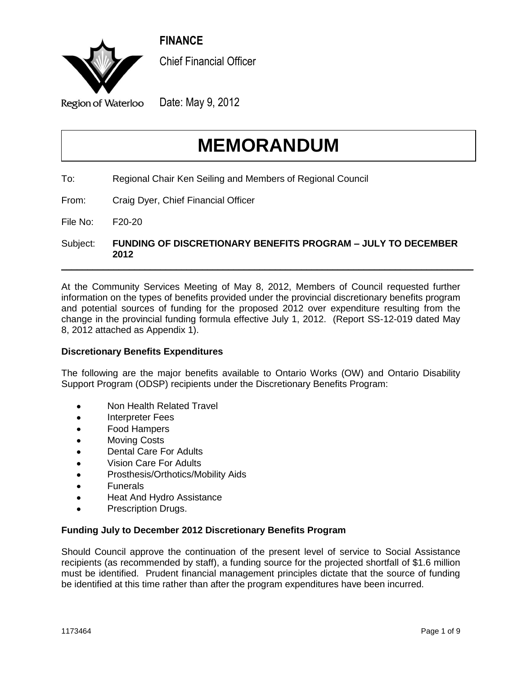**FINANCE**

<span id="page-22-0"></span>

Chief Financial Officer

Region of Waterloo

Date: May 9, 2012

# **MEMORANDUM**

- To: Regional Chair Ken Seiling and Members of Regional Council
- From: Craig Dyer, Chief Financial Officer

File No: F20-20

Subject: **FUNDING OF DISCRETIONARY BENEFITS PROGRAM – JULY TO DECEMBER 2012**

\_\_\_\_\_\_\_\_\_\_\_\_\_\_\_\_\_\_\_\_\_\_\_\_\_\_\_\_\_\_\_\_\_\_\_\_\_\_\_\_\_\_\_\_\_\_\_\_\_\_\_\_\_\_\_\_\_\_\_\_\_\_\_\_\_\_\_\_\_\_\_\_\_\_\_\_\_\_\_

At the Community Services Meeting of May 8, 2012, Members of Council requested further information on the types of benefits provided under the provincial discretionary benefits program and potential sources of funding for the proposed 2012 over expenditure resulting from the change in the provincial funding formula effective July 1, 2012. (Report SS-12-019 dated May 8, 2012 attached as Appendix 1).

## **Discretionary Benefits Expenditures**

The following are the major benefits available to Ontario Works (OW) and Ontario Disability Support Program (ODSP) recipients under the Discretionary Benefits Program:

- Non Health Related Travel
- Interpreter Fees
- Food Hampers
- Moving Costs
- Dental Care For Adults
- Vision Care For Adults
- Prosthesis/Orthotics/Mobility Aids
- Funerals
- Heat And Hydro Assistance
- Prescription Drugs.

#### **Funding July to December 2012 Discretionary Benefits Program**

Should Council approve the continuation of the present level of service to Social Assistance recipients (as recommended by staff), a funding source for the projected shortfall of \$1.6 million must be identified. Prudent financial management principles dictate that the source of funding be identified at this time rather than after the program expenditures have been incurred.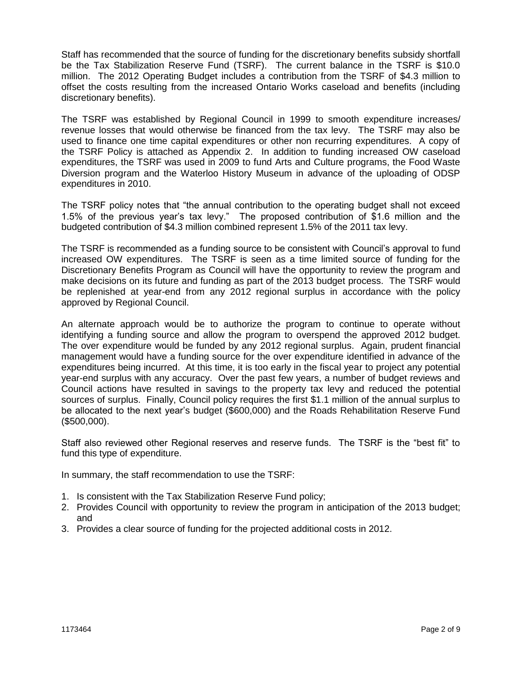Staff has recommended that the source of funding for the discretionary benefits subsidy shortfall be the Tax Stabilization Reserve Fund (TSRF). The current balance in the TSRF is \$10.0 million. The 2012 Operating Budget includes a contribution from the TSRF of \$4.3 million to offset the costs resulting from the increased Ontario Works caseload and benefits (including discretionary benefits).

The TSRF was established by Regional Council in 1999 to smooth expenditure increases/ revenue losses that would otherwise be financed from the tax levy. The TSRF may also be used to finance one time capital expenditures or other non recurring expenditures. A copy of the TSRF Policy is attached as Appendix 2. In addition to funding increased OW caseload expenditures, the TSRF was used in 2009 to fund Arts and Culture programs, the Food Waste Diversion program and the Waterloo History Museum in advance of the uploading of ODSP expenditures in 2010.

The TSRF policy notes that "the annual contribution to the operating budget shall not exceed 1.5% of the previous year's tax levy." The proposed contribution of \$1.6 million and the budgeted contribution of \$4.3 million combined represent 1.5% of the 2011 tax levy.

The TSRF is recommended as a funding source to be consistent with Council's approval to fund increased OW expenditures. The TSRF is seen as a time limited source of funding for the Discretionary Benefits Program as Council will have the opportunity to review the program and make decisions on its future and funding as part of the 2013 budget process. The TSRF would be replenished at year-end from any 2012 regional surplus in accordance with the policy approved by Regional Council.

An alternate approach would be to authorize the program to continue to operate without identifying a funding source and allow the program to overspend the approved 2012 budget. The over expenditure would be funded by any 2012 regional surplus. Again, prudent financial management would have a funding source for the over expenditure identified in advance of the expenditures being incurred. At this time, it is too early in the fiscal year to project any potential year-end surplus with any accuracy. Over the past few years, a number of budget reviews and Council actions have resulted in savings to the property tax levy and reduced the potential sources of surplus. Finally, Council policy requires the first \$1.1 million of the annual surplus to be allocated to the next year's budget (\$600,000) and the Roads Rehabilitation Reserve Fund (\$500,000).

Staff also reviewed other Regional reserves and reserve funds. The TSRF is the "best fit" to fund this type of expenditure.

In summary, the staff recommendation to use the TSRF:

- 1. Is consistent with the Tax Stabilization Reserve Fund policy;
- 2. Provides Council with opportunity to review the program in anticipation of the 2013 budget; and
- 3. Provides a clear source of funding for the projected additional costs in 2012.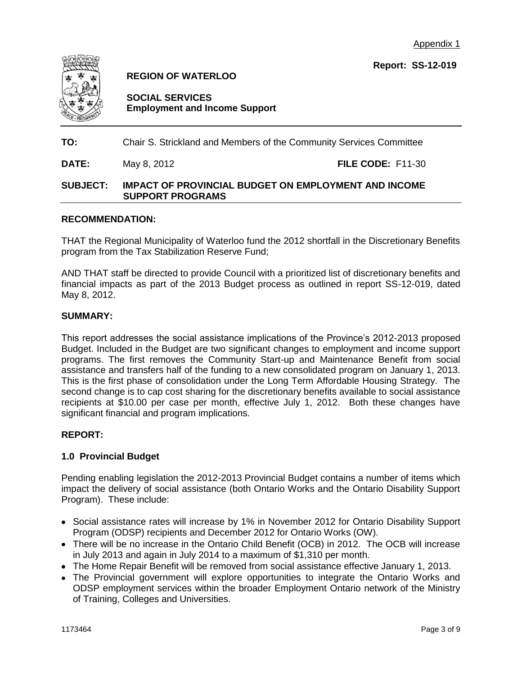

**REGION OF WATERLOO**

**SOCIAL SERVICES Employment and Income Support**

**TO:** Chair S. Strickland and Members of the Community Services Committee

**DATE:** May 8, 2012 **FILE CODE:** F11-30

## **SUBJECT: IMPACT OF PROVINCIAL BUDGET ON EMPLOYMENT AND INCOME SUPPORT PROGRAMS**

## **RECOMMENDATION:**

THAT the Regional Municipality of Waterloo fund the 2012 shortfall in the Discretionary Benefits program from the Tax Stabilization Reserve Fund;

AND THAT staff be directed to provide Council with a prioritized list of discretionary benefits and financial impacts as part of the 2013 Budget process as outlined in report SS-12-019, dated May 8, 2012.

#### **SUMMARY:**

This report addresses the social assistance implications of the Province's 2012-2013 proposed Budget. Included in the Budget are two significant changes to employment and income support programs. The first removes the Community Start-up and Maintenance Benefit from social assistance and transfers half of the funding to a new consolidated program on January 1, 2013. This is the first phase of consolidation under the Long Term Affordable Housing Strategy. The second change is to cap cost sharing for the discretionary benefits available to social assistance recipients at \$10.00 per case per month, effective July 1, 2012. Both these changes have significant financial and program implications.

## **REPORT:**

## **1.0 Provincial Budget**

Pending enabling legislation the 2012-2013 Provincial Budget contains a number of items which impact the delivery of social assistance (both Ontario Works and the Ontario Disability Support Program). These include:

- Social assistance rates will increase by 1% in November 2012 for Ontario Disability Support Program (ODSP) recipients and December 2012 for Ontario Works (OW).
- There will be no increase in the Ontario Child Benefit (OCB) in 2012. The OCB will increase in July 2013 and again in July 2014 to a maximum of \$1,310 per month.
- The Home Repair Benefit will be removed from social assistance effective January 1, 2013.
- The Provincial government will explore opportunities to integrate the Ontario Works and ODSP employment services within the broader Employment Ontario network of the Ministry of Training, Colleges and Universities.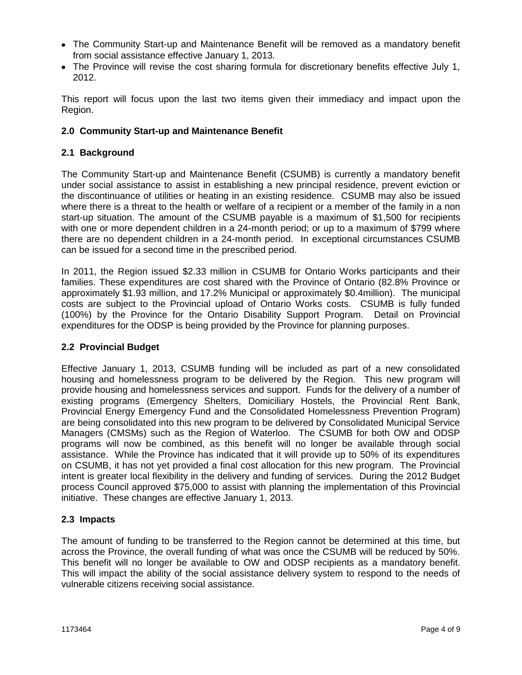- The Community Start-up and Maintenance Benefit will be removed as a mandatory benefit from social assistance effective January 1, 2013.
- The Province will revise the cost sharing formula for discretionary benefits effective July 1, 2012.

This report will focus upon the last two items given their immediacy and impact upon the Region.

## **2.0 Community Start-up and Maintenance Benefit**

## **2.1 Background**

The Community Start-up and Maintenance Benefit (CSUMB) is currently a mandatory benefit under social assistance to assist in establishing a new principal residence, prevent eviction or the discontinuance of utilities or heating in an existing residence. CSUMB may also be issued where there is a threat to the health or welfare of a recipient or a member of the family in a non start-up situation. The amount of the CSUMB payable is a maximum of \$1,500 for recipients with one or more dependent children in a 24-month period; or up to a maximum of \$799 where there are no dependent children in a 24-month period. In exceptional circumstances CSUMB can be issued for a second time in the prescribed period.

In 2011, the Region issued \$2.33 million in CSUMB for Ontario Works participants and their families. These expenditures are cost shared with the Province of Ontario (82.8% Province or approximately \$1.93 million, and 17.2% Municipal or approximately \$0.4million). The municipal costs are subject to the Provincial upload of Ontario Works costs. CSUMB is fully funded (100%) by the Province for the Ontario Disability Support Program. Detail on Provincial expenditures for the ODSP is being provided by the Province for planning purposes.

## **2.2 Provincial Budget**

Effective January 1, 2013, CSUMB funding will be included as part of a new consolidated housing and homelessness program to be delivered by the Region. This new program will provide housing and homelessness services and support. Funds for the delivery of a number of existing programs (Emergency Shelters, Domiciliary Hostels, the Provincial Rent Bank, Provincial Energy Emergency Fund and the Consolidated Homelessness Prevention Program) are being consolidated into this new program to be delivered by Consolidated Municipal Service Managers (CMSMs) such as the Region of Waterloo. The CSUMB for both OW and ODSP programs will now be combined, as this benefit will no longer be available through social assistance. While the Province has indicated that it will provide up to 50% of its expenditures on CSUMB, it has not yet provided a final cost allocation for this new program. The Provincial intent is greater local flexibility in the delivery and funding of services. During the 2012 Budget process Council approved \$75,000 to assist with planning the implementation of this Provincial initiative. These changes are effective January 1, 2013.

## **2.3 Impacts**

The amount of funding to be transferred to the Region cannot be determined at this time, but across the Province, the overall funding of what was once the CSUMB will be reduced by 50%. This benefit will no longer be available to OW and ODSP recipients as a mandatory benefit. This will impact the ability of the social assistance delivery system to respond to the needs of vulnerable citizens receiving social assistance.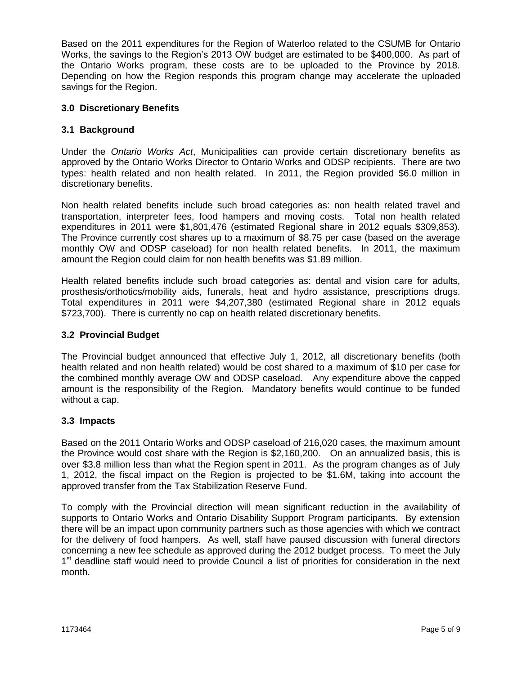Based on the 2011 expenditures for the Region of Waterloo related to the CSUMB for Ontario Works, the savings to the Region's 2013 OW budget are estimated to be \$400,000. As part of the Ontario Works program, these costs are to be uploaded to the Province by 2018. Depending on how the Region responds this program change may accelerate the uploaded savings for the Region.

## **3.0 Discretionary Benefits**

## **3.1 Background**

Under the *Ontario Works Act*, Municipalities can provide certain discretionary benefits as approved by the Ontario Works Director to Ontario Works and ODSP recipients. There are two types: health related and non health related. In 2011, the Region provided \$6.0 million in discretionary benefits.

Non health related benefits include such broad categories as: non health related travel and transportation, interpreter fees, food hampers and moving costs. Total non health related expenditures in 2011 were \$1,801,476 (estimated Regional share in 2012 equals \$309,853). The Province currently cost shares up to a maximum of \$8.75 per case (based on the average monthly OW and ODSP caseload) for non health related benefits. In 2011, the maximum amount the Region could claim for non health benefits was \$1.89 million.

Health related benefits include such broad categories as: dental and vision care for adults, prosthesis/orthotics/mobility aids, funerals, heat and hydro assistance, prescriptions drugs. Total expenditures in 2011 were \$4,207,380 (estimated Regional share in 2012 equals \$723,700). There is currently no cap on health related discretionary benefits.

## **3.2 Provincial Budget**

The Provincial budget announced that effective July 1, 2012, all discretionary benefits (both health related and non health related) would be cost shared to a maximum of \$10 per case for the combined monthly average OW and ODSP caseload. Any expenditure above the capped amount is the responsibility of the Region. Mandatory benefits would continue to be funded without a cap.

## **3.3 Impacts**

Based on the 2011 Ontario Works and ODSP caseload of 216,020 cases, the maximum amount the Province would cost share with the Region is \$2,160,200. On an annualized basis, this is over \$3.8 million less than what the Region spent in 2011. As the program changes as of July 1, 2012, the fiscal impact on the Region is projected to be \$1.6M, taking into account the approved transfer from the Tax Stabilization Reserve Fund.

To comply with the Provincial direction will mean significant reduction in the availability of supports to Ontario Works and Ontario Disability Support Program participants. By extension there will be an impact upon community partners such as those agencies with which we contract for the delivery of food hampers. As well, staff have paused discussion with funeral directors concerning a new fee schedule as approved during the 2012 budget process. To meet the July 1<sup>st</sup> deadline staff would need to provide Council a list of priorities for consideration in the next month.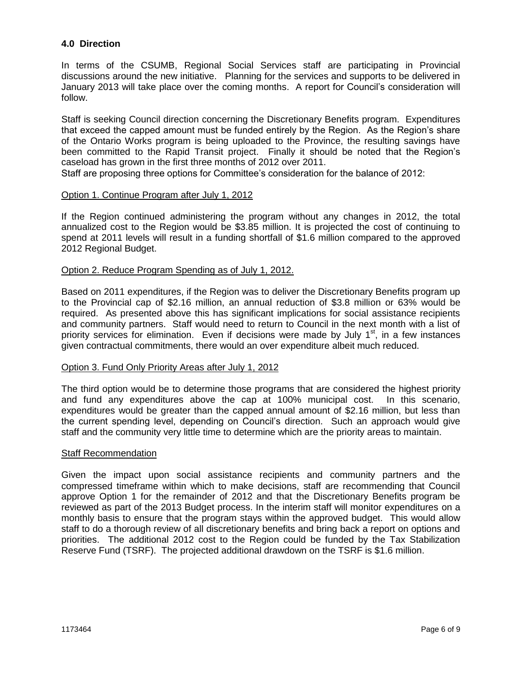## **4.0 Direction**

In terms of the CSUMB, Regional Social Services staff are participating in Provincial discussions around the new initiative. Planning for the services and supports to be delivered in January 2013 will take place over the coming months. A report for Council's consideration will follow.

Staff is seeking Council direction concerning the Discretionary Benefits program. Expenditures that exceed the capped amount must be funded entirely by the Region. As the Region's share of the Ontario Works program is being uploaded to the Province, the resulting savings have been committed to the Rapid Transit project. Finally it should be noted that the Region's caseload has grown in the first three months of 2012 over 2011.

Staff are proposing three options for Committee's consideration for the balance of 2012:

#### Option 1. Continue Program after July 1, 2012

If the Region continued administering the program without any changes in 2012, the total annualized cost to the Region would be \$3.85 million. It is projected the cost of continuing to spend at 2011 levels will result in a funding shortfall of \$1.6 million compared to the approved 2012 Regional Budget.

#### Option 2. Reduce Program Spending as of July 1, 2012.

Based on 2011 expenditures, if the Region was to deliver the Discretionary Benefits program up to the Provincial cap of \$2.16 million, an annual reduction of \$3.8 million or 63% would be required. As presented above this has significant implications for social assistance recipients and community partners. Staff would need to return to Council in the next month with a list of priority services for elimination. Even if decisions were made by July  $1<sup>st</sup>$ , in a few instances given contractual commitments, there would an over expenditure albeit much reduced.

#### Option 3. Fund Only Priority Areas after July 1, 2012

The third option would be to determine those programs that are considered the highest priority and fund any expenditures above the cap at 100% municipal cost. In this scenario, expenditures would be greater than the capped annual amount of \$2.16 million, but less than the current spending level, depending on Council's direction. Such an approach would give staff and the community very little time to determine which are the priority areas to maintain.

#### Staff Recommendation

Given the impact upon social assistance recipients and community partners and the compressed timeframe within which to make decisions, staff are recommending that Council approve Option 1 for the remainder of 2012 and that the Discretionary Benefits program be reviewed as part of the 2013 Budget process. In the interim staff will monitor expenditures on a monthly basis to ensure that the program stays within the approved budget. This would allow staff to do a thorough review of all discretionary benefits and bring back a report on options and priorities. The additional 2012 cost to the Region could be funded by the Tax Stabilization Reserve Fund (TSRF). The projected additional drawdown on the TSRF is \$1.6 million.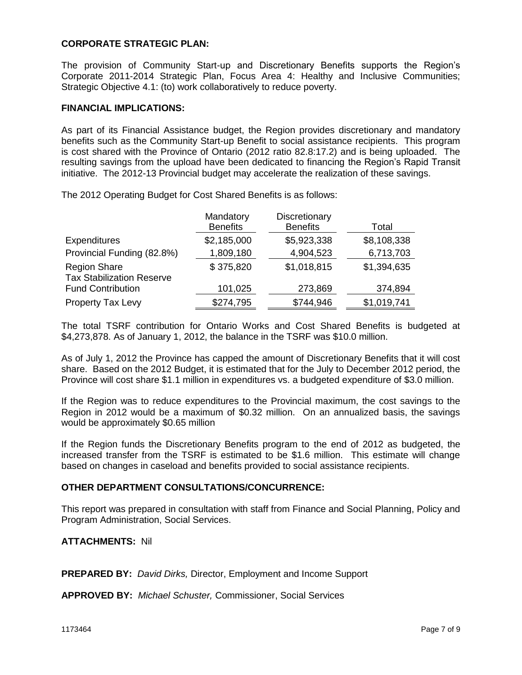#### **CORPORATE STRATEGIC PLAN:**

The provision of Community Start-up and Discretionary Benefits supports the Region's Corporate 2011-2014 Strategic Plan, Focus Area 4: Healthy and Inclusive Communities; Strategic Objective 4.1: (to) work collaboratively to reduce poverty.

#### **FINANCIAL IMPLICATIONS:**

As part of its Financial Assistance budget, the Region provides discretionary and mandatory benefits such as the Community Start-up Benefit to social assistance recipients. This program is cost shared with the Province of Ontario (2012 ratio 82.8:17.2) and is being uploaded. The resulting savings from the upload have been dedicated to financing the Region's Rapid Transit initiative. The 2012-13 Provincial budget may accelerate the realization of these savings.

The 2012 Operating Budget for Cost Shared Benefits is as follows:

|                                                         | Mandatory       | Discretionary   |             |
|---------------------------------------------------------|-----------------|-----------------|-------------|
|                                                         | <b>Benefits</b> | <b>Benefits</b> | Total       |
| <b>Expenditures</b>                                     | \$2,185,000     | \$5,923,338     | \$8,108,338 |
| Provincial Funding (82.8%)                              | 1,809,180       | 4,904,523       | 6,713,703   |
| <b>Region Share</b><br><b>Tax Stabilization Reserve</b> | \$375,820       | \$1,018,815     | \$1,394,635 |
| <b>Fund Contribution</b>                                | 101,025         | 273,869         | 374,894     |
| <b>Property Tax Levy</b>                                | \$274,795       | \$744,946       | \$1,019,741 |

The total TSRF contribution for Ontario Works and Cost Shared Benefits is budgeted at \$4,273,878. As of January 1, 2012, the balance in the TSRF was \$10.0 million.

As of July 1, 2012 the Province has capped the amount of Discretionary Benefits that it will cost share. Based on the 2012 Budget, it is estimated that for the July to December 2012 period, the Province will cost share \$1.1 million in expenditures vs. a budgeted expenditure of \$3.0 million.

If the Region was to reduce expenditures to the Provincial maximum, the cost savings to the Region in 2012 would be a maximum of \$0.32 million. On an annualized basis, the savings would be approximately \$0.65 million

If the Region funds the Discretionary Benefits program to the end of 2012 as budgeted, the increased transfer from the TSRF is estimated to be \$1.6 million. This estimate will change based on changes in caseload and benefits provided to social assistance recipients.

#### **OTHER DEPARTMENT CONSULTATIONS/CONCURRENCE:**

This report was prepared in consultation with staff from Finance and Social Planning, Policy and Program Administration, Social Services.

#### **ATTACHMENTS:** Nil

**PREPARED BY:** *David Dirks,* Director, Employment and Income Support

**APPROVED BY:** *Michael Schuster,* Commissioner, Social Services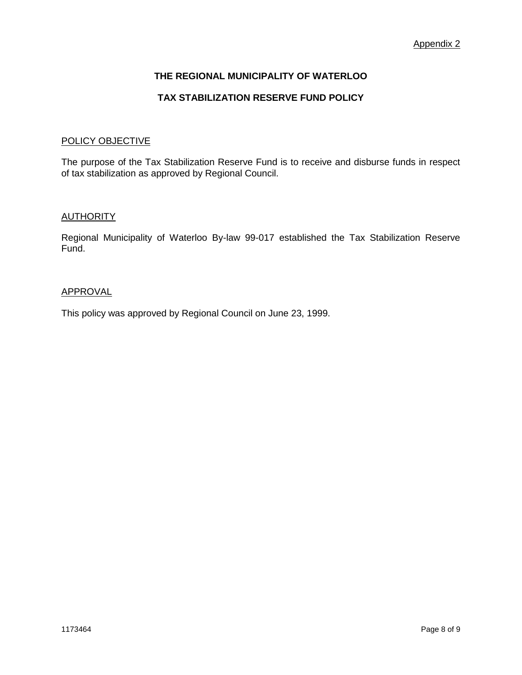## **THE REGIONAL MUNICIPALITY OF WATERLOO**

### **TAX STABILIZATION RESERVE FUND POLICY**

#### POLICY OBJECTIVE

The purpose of the Tax Stabilization Reserve Fund is to receive and disburse funds in respect of tax stabilization as approved by Regional Council.

#### **AUTHORITY**

Regional Municipality of Waterloo By-law 99-017 established the Tax Stabilization Reserve Fund.

#### APPROVAL

This policy was approved by Regional Council on June 23, 1999.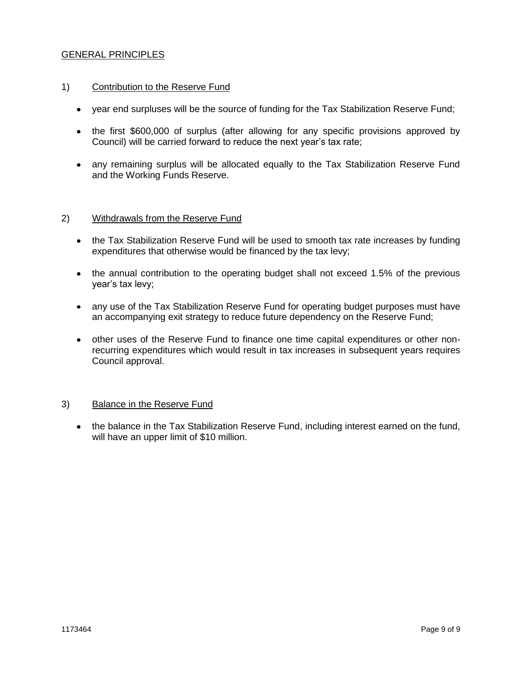### GENERAL PRINCIPLES

#### 1) Contribution to the Reserve Fund

- year end surpluses will be the source of funding for the Tax Stabilization Reserve Fund;
- the first \$600,000 of surplus (after allowing for any specific provisions approved by Council) will be carried forward to reduce the next year's tax rate;
- any remaining surplus will be allocated equally to the Tax Stabilization Reserve Fund and the Working Funds Reserve.

#### 2) Withdrawals from the Reserve Fund

- the Tax Stabilization Reserve Fund will be used to smooth tax rate increases by funding expenditures that otherwise would be financed by the tax levy;
- the annual contribution to the operating budget shall not exceed 1.5% of the previous year's tax levy;
- any use of the Tax Stabilization Reserve Fund for operating budget purposes must have an accompanying exit strategy to reduce future dependency on the Reserve Fund;
- other uses of the Reserve Fund to finance one time capital expenditures or other nonrecurring expenditures which would result in tax increases in subsequent years requires Council approval.

#### 3) Balance in the Reserve Fund

the balance in the Tax Stabilization Reserve Fund, including interest earned on the fund, will have an upper limit of \$10 million.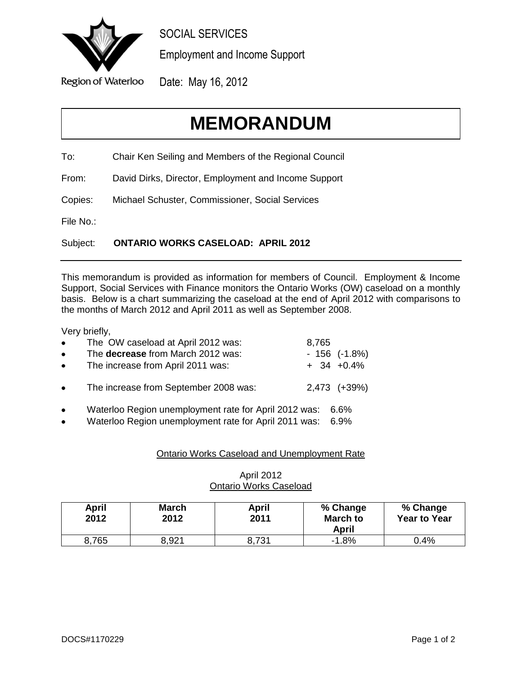<span id="page-31-0"></span>

SOCIAL SERVICES

Employment and Income Support

Date: May 16, 2012

# **MEMORANDUM**

To: Chair Ken Seiling and Members of the Regional Council

From: David Dirks, Director, Employment and Income Support

Copies: Michael Schuster, Commissioner, Social Services

File No.:

Subject: **ONTARIO WORKS CASELOAD: APRIL 2012**

This memorandum is provided as information for members of Council. Employment & Income Support, Social Services with Finance monitors the Ontario Works (OW) caseload on a monthly basis. Below is a chart summarizing the caseload at the end of April 2012 with comparisons to the months of March 2012 and April 2011 as well as September 2008.

Very briefly,

| $\bullet$ | The OW caseload at April 2012 was:    | 8,765 |                  |
|-----------|---------------------------------------|-------|------------------|
| $\bullet$ | The decrease from March 2012 was:     |       | $-156$ $(-1.8%)$ |
| $\bullet$ | The increase from April 2011 was:     |       | $+$ 34 $+0.4\%$  |
| $\bullet$ | The increase from September 2008 was: |       | 2,473 (+39%)     |

- Waterloo Region unemployment rate for April 2012 was: 6.6%
- Waterloo Region unemployment rate for April 2011 was: 6.9%

## Ontario Works Caseload and Unemployment Rate

| April<br>2012 | March<br>2012 | April<br>2011 | % Change<br><b>March to</b><br>April | % Change<br><b>Year to Year</b> |
|---------------|---------------|---------------|--------------------------------------|---------------------------------|
| 8,765         | 8,921         | 8,731         | $-1.8%$                              | 0.4%                            |

## April 2012 Ontario Works Caseload